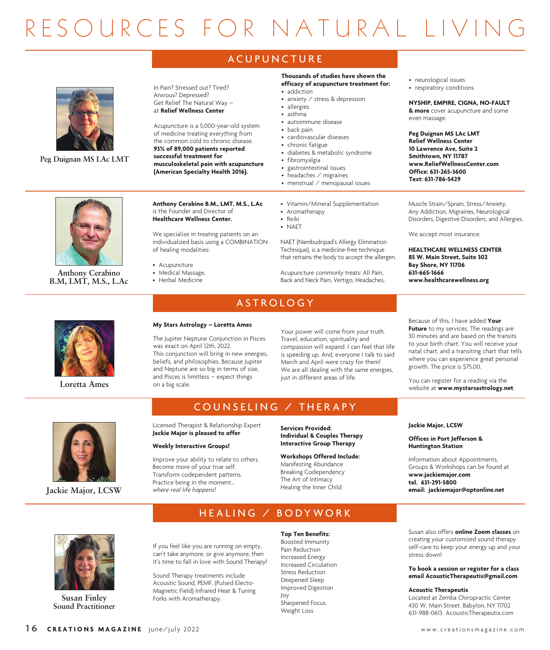# R E S O U R C E S F O R N A T U R A L L I V I

# **A C U P U N C T U R E**



The Jupiter Neptune Conjunction in Pisces This conjunction will bring in new energies, Your power will come from your truth. Travel, education, spirituality and compassion will expand. I can feel that life is speeding up. And, everyone I talk to said March and April were crazy for them! We are all dealing with the same energies, just in different areas of life.

Because of this, I have added **Your Future** to my services. The readings are 30 minutes and are based on the transits to your birth chart. You will receive your natal chart, and a transiting chart that tells where you can experience great personal growth. The price is \$75.00.

You can register for a reading via the **Loretta Ames** and big scale. The contract at **a local device at <b>Ames** at **a local device and solution** and the vebsite at **www.mystarsastrology.net**.



# COUNSELING / THERAPY

HEALING / BODYWORK

Licensed Therapist & Relationship Expert **Jackie Major is pleased to offer**

**My Stars Astrology – Loretta Ames**

beliefs, and philosophies. Because Jupiter and Neptune are so big in terms of size, and Pisces is limitless – expect things

was exact on April 12th, 2022.

on a big scale.

# **Weekly Interactive Groups!**

Improve your ability to relate to others. Become more of your true self. Transform codependent patterns. Practice being in the moment... *where real life happens!*

**Services Provided: Individual & Couples Therapy Interactive Group Therapy**

**Workshops Offered Include:** Manifesting Abundance Breaking Codependency The Art of Intimacy Healing the Inner Child

**Jackie Major, LCSW**

# **Offices in Port Jefferson & Huntington Station**

Information about Appointments, Groups & Workshops can be found at **www.jackiemajor.com tel. 631-291-5800 Jackie Major, LCSW email: jackiemajor@optonline.net**

**Susan Finley Sound Practitioner**

#### If you feel like you are running on empty, can't take anymore, or give anymore, then **Top Ten Benefits:** Boosted Immunity

it's time to fall in love with Sound Therapy! Sound Therapy treatments include Acoustic Sound, PEMF, (Pulsed Electo-

Magnetic Field) Infrared Heat & Tuning

Forks with Aromatherapy.

# Pain Reduction Increased Energy Increased Circulation Stress Reduction Deepened Sleep Improved Digestion Joy Sharpened Focus

Weight Loss

# Susan also offers **online Zoom classes** on creating your customized sound therapy self-care to keep your energy up and your stress down!

**To book a session or register for a class email AcousticTherapeutix@gmail.com**

# **Acoustic Therapeutix**

Located at Zemba Chiropractic Center 430 W. Main Street, Babylon, NY 11702 631-988-0613 AcousticTherapeutix.com



16 **CREATIONS MAGAZINE** june/july 2022 **www.creationsmagazine.com**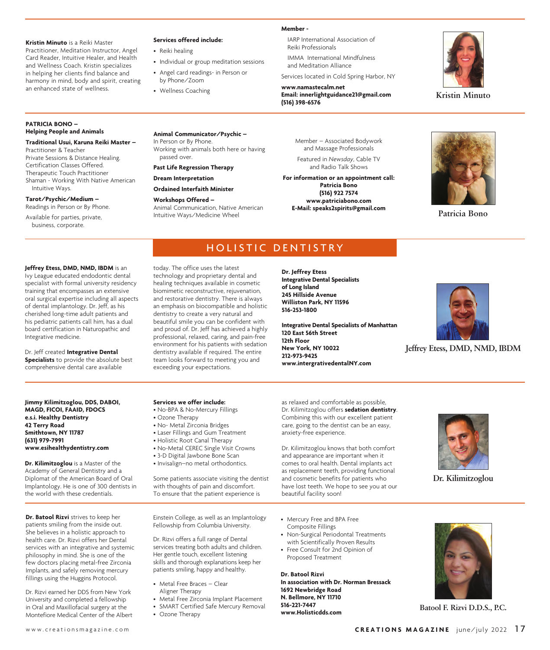#### **Kristin Minuto** is a Reiki Master

Practitioner, Meditation Instructor, Angel Card Reader, Intuitive Healer, and Health and Wellness Coach. Kristin specializes in helping her clients find balance and harmony in mind, body and spirit, creating an enhanced state of wellness.

# **Services offered include:**

by Phone/Zoom • Wellness Coaching

• Reiki healing

• Individual or group meditation sessions

• Angel card readings- in Person or Services located in Cold Spring Harbor, NY

**Member -** 

Reiki Professionals

**www.namastecalm.net Email: innerlightguidance21@gmail.com (516) 398-6576**

IARP International Association of

IMMA International Mindfulness and Meditation Alliance



**Kristin Minuto** 

# **PATRICIA BONO – Helping People and Animals**

#### **Traditional Usui, Karuna Reiki Master –**

Practitioner & Teacher Private Sessions & Distance Healing. Certification Classes Offered. Therapeutic Touch Practitioner Shaman - Working With Native American Intuitive Ways.

#### **Tarot/Psychic/Medium –** Readings in Person or By Phone.

Available for parties, private, business, corporate.

**Animal Communicator/Psychic –** In Person or By Phone. Working with animals both here or having passed over.

**Past Life Regression Therapy**

# **Dream Interpretation**

# **Ordained Interfaith Minister**

**Workshops Offered –** 

Animal Communication, Native American Intuitive Ways/Medicine Wheel

Member – Associated Bodywork and Massage Professionals

Featured in *Newsday*, Cable TV and Radio Talk Shows

**For information or an appointment call: Patricia Bono (516) 922 7574 www.patriciabono.com E-Mail: speaks2spirits@gmail.com Patricia Bono**



# HOLISTIC DENTISTRY

#### **Jeffrey Etess, DMD, NMD, IBDM** is an

Ivy League educated endodontic dental specialist with formal university residency training that encompasses an extensive oral surgical expertise including all aspects of dental implantology. Dr. Jeff, as his cherished long-time adult patients and his pediatric patients call him, has a dual board certification in Naturopathic and Integrative medicine.

Dr. Jeff created **Integrative Dental Specialists** to provide the absolute best comprehensive dental care available

**Jimmy Kilimitzoglou, DDS, DABOI, MAGD, FICOI, FAAID, FDOCS e.s.i. Healthy Dentistry 42 Terry Road Smithtown, NY 11787 (631) 979-7991 www.esihealthydentistry.com**

**Dr. Kilimitzoglou** is a Master of the Academy of General Dentistry and a Diplomat of the American Board of Oral Implantology. He is one of 300 dentists in the world with these credentials.

**Dr. Batool Rizvi** strives to keep her patients smiling from the inside out. She believes in a holistic approach to health care. Dr. Rizvi offers her Dental services with an integrative and systemic philosophy in mind. She is one of the few doctors placing metal-free Zirconia Implants, and safely removing mercury fillings using the Huggins Protocol.

Dr. Rizvi earned her DDS from New York University and completed a fellowship in Oral and Maxillofacial surgery at the Montefiore Medical Center of the Albert today. The office uses the latest technology and proprietary dental and healing techniques available in cosmetic biomimetic reconstructive, rejuvenation, and restorative dentistry. There is always an emphasis on biocompatible and holistic dentistry to create a very natural and beautiful smile you can be confident with and proud of. Dr. Jeff has achieved a highly professional, relaxed, caring, and pain-free environment for his patients with sedation dentistry available if required. The entire team looks forward to meeting you and exceeding your expectations.

**Dr. Jeffrey Etess Integrative Dental Specialists of Long Island 245 Hillside Avenue Williston Park, NY 11596 516-253-1800**

**Integrative Dental Specialists of Manhattan 120 East 56th Street 12th Floor New York, NY 10022 212-973-9425 www.intergrativedentalNY.com**

Dr. Kilimitzoglou offers **sedation dentistry**. Combining this with our excellent patient care, going to the dentist can be an easy,

Dr. Kilimitzoglou knows that both comfort and appearance are important when it comes to oral health. Dental implants act as replacement teeth, providing functional and cosmetic benefits for patients who have lost teeth. We hope to see you at our



**Jeffrey Etess, DMD, NMD, IBDM**

# **Services we offer include:**

- No-BPA & No-Mercury Fillings
- Ozone Therapy
- No- Metal Zirconia Bridges
- Laser Fillings and Gum Treatment
- Holistic Root Canal Therapy
- No-Metal CEREC Single Visit Crowns • 3-D Digital Jawbone Bone Scan
- Invisalign–no metal orthodontics.

Some patients associate visiting the dentist with thoughts of pain and discomfort. To ensure that the patient experience is

Einstein College, as well as an Implantology Fellowship from Columbia University.

Dr. Rizvi offers a full range of Dental services treating both adults and children. Her gentle touch, excellent listening skills and thorough explanations keep her patients smiling, happy and healthy.

- Metal Free Braces Clear
- Aligner Therapy
- Metal Free Zirconia Implant Placement
- SMART Certified Safe Mercury Removal
- Ozone Therapy

• Mercury Free and BPA Free Composite Fillings

beautiful facility soon!

anxiety-free experience.

- Non-Surgical Periodontal Treatments with Scientifically Proven Results
- Free Consult for 2nd Opinion of Proposed Treatment

# **Dr. Batool Rizvi**

**In association with Dr. Norman Bressack 1692 Newbridge Road N. Bellmore, NY 11710 516-221-7447 www.Holisticdds.com Batool F. Rizvi D.D.S., P.C.**



**Dr. Kilimitzoglou** 



w w w . c r e a t i o n s m a g a z i n e . c o m **C R E A T I O N S M A G A Z I N E** june/july 2022 1 7

as relaxed and comfortable as possible,